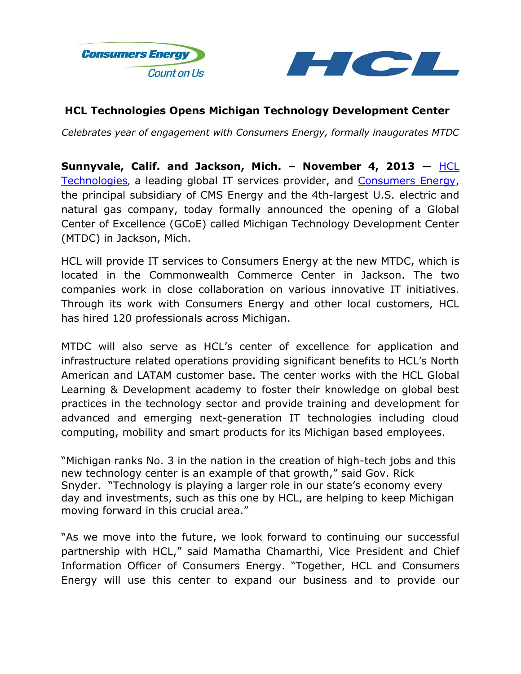



# **HCL Technologies Opens Michigan Technology Development Center**

*Celebrates year of engagement with Consumers Energy, formally inaugurates MTDC*

**Sunnyvale, Calif. and Jackson, Mich. – November 4, 2013 —** [HCL](http://www.hcltech.com/)  [Technologies](http://www.hcltech.com/), a leading global IT services provider, and [Consumers Energy,](http://www.consumersenergy.com/) the principal subsidiary of CMS Energy and the 4th-largest U.S. electric and natural gas company, today formally announced the opening of a Global Center of Excellence (GCoE) called Michigan Technology Development Center (MTDC) in Jackson, Mich.

HCL will provide IT services to Consumers Energy at the new MTDC, which is located in the Commonwealth Commerce Center in Jackson. The two companies work in close collaboration on various innovative IT initiatives. Through its work with Consumers Energy and other local customers, HCL has hired 120 professionals across Michigan.

MTDC will also serve as HCL's center of excellence for application and infrastructure related operations providing significant benefits to HCL's North American and LATAM customer base. The center works with the HCL Global Learning & Development academy to foster their knowledge on global best practices in the technology sector and provide training and development for advanced and emerging next-generation IT technologies including cloud computing, mobility and smart products for its Michigan based employees.

"Michigan ranks No. 3 in the nation in the creation of high-tech jobs and this new technology center is an example of that growth," said Gov. Rick Snyder. "Technology is playing a larger role in our state's economy every day and investments, such as this one by HCL, are helping to keep Michigan moving forward in this crucial area."

"As we move into the future, we look forward to continuing our successful partnership with HCL," said Mamatha Chamarthi, Vice President and Chief Information Officer of Consumers Energy. "Together, HCL and Consumers Energy will use this center to expand our business and to provide our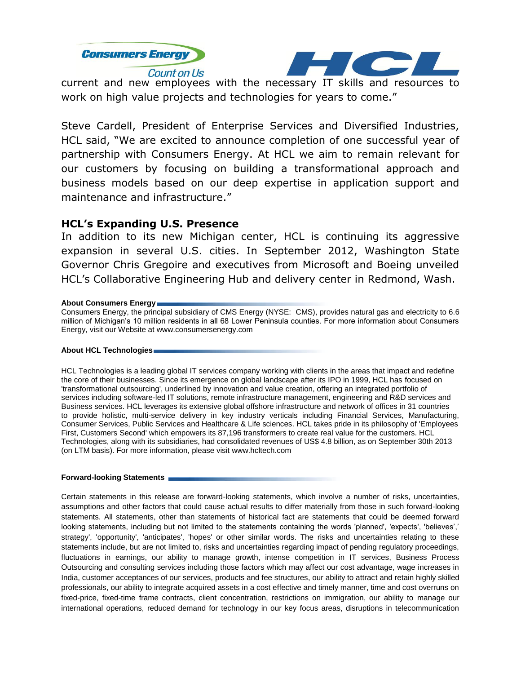



current and new employees with the necessary IT skills and resources to work on high value projects and technologies for years to come."

Steve Cardell, President of Enterprise Services and Diversified Industries, HCL said, "We are excited to announce completion of one successful year of partnership with Consumers Energy. At HCL we aim to remain relevant for our customers by focusing on building a transformational approach and business models based on our deep expertise in application support and maintenance and infrastructure."

## **HCL's Expanding U.S. Presence**

In addition to its new Michigan center, HCL is continuing its aggressive expansion in several U.S. cities. In September 2012, Washington State Governor Chris Gregoire and executives from Microsoft and Boeing unveiled HCL's Collaborative Engineering Hub and delivery center in Redmond, Wash.

#### **About Consumers Energy**

Consumers Energy, the principal subsidiary of CMS Energy (NYSE: CMS), provides natural gas and electricity to 6.6 million of Michigan's 10 million residents in all 68 Lower Peninsula counties. For more information about Consumers Energy, visit our Website at [www.consumersenergy.com](http://www.consumersenergy.com/)

#### **About HCL Technologies**

HCL Technologies is a leading global IT services company working with clients in the areas that impact and redefine the core of their businesses. Since its emergence on global landscape after its IPO in 1999, HCL has focused on 'transformational outsourcing', underlined by innovation and value creation, offering an integrated portfolio of services including software-led IT solutions, remote infrastructure management, engineering and R&D services and Business services. HCL leverages its extensive global offshore infrastructure and network of offices in 31 countries to provide holistic, multi-service delivery in key industry verticals including Financial Services, Manufacturing, Consumer Services, Public Services and Healthcare & Life sciences. HCL takes pride in its philosophy of 'Employees First, Customers Second' which empowers its 87,196 transformers to create real value for the customers. HCL Technologies, along with its subsidiaries, had consolidated revenues of US\$ 4.8 billion, as on September 30th 2013 (on LTM basis). For more information, please visit www.hcltech.com

#### **Forward-looking Statements**

Certain statements in this release are forward-looking statements, which involve a number of risks, uncertainties, assumptions and other factors that could cause actual results to differ materially from those in such forward-looking statements. All statements, other than statements of historical fact are statements that could be deemed forward looking statements, including but not limited to the statements containing the words 'planned', 'expects', 'believes',' strategy', 'opportunity', 'anticipates', 'hopes' or other similar words. The risks and uncertainties relating to these statements include, but are not limited to, risks and uncertainties regarding impact of pending regulatory proceedings, fluctuations in earnings, our ability to manage growth, intense competition in IT services, Business Process Outsourcing and consulting services including those factors which may affect our cost advantage, wage increases in India, customer acceptances of our services, products and fee structures, our ability to attract and retain highly skilled professionals, our ability to integrate acquired assets in a cost effective and timely manner, time and cost overruns on fixed-price, fixed-time frame contracts, client concentration, restrictions on immigration, our ability to manage our international operations, reduced demand for technology in our key focus areas, disruptions in telecommunication